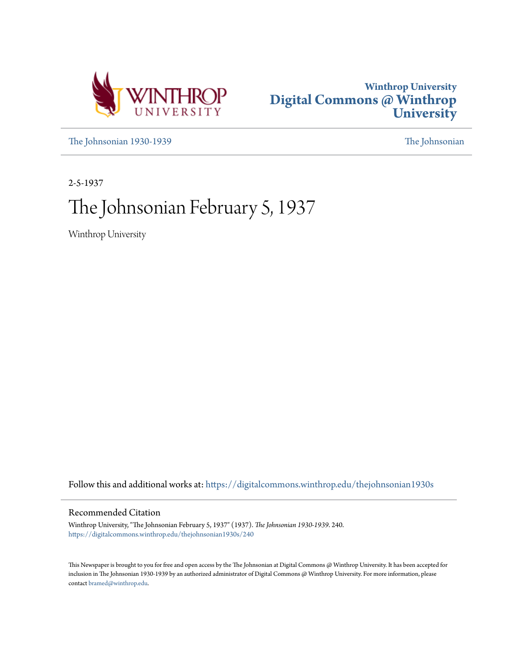



[The Johnsonian 1930-1939](https://digitalcommons.winthrop.edu/thejohnsonian1930s?utm_source=digitalcommons.winthrop.edu%2Fthejohnsonian1930s%2F240&utm_medium=PDF&utm_campaign=PDFCoverPages) [The Johnsonian](https://digitalcommons.winthrop.edu/thejohnsonian_newspaper?utm_source=digitalcommons.winthrop.edu%2Fthejohnsonian1930s%2F240&utm_medium=PDF&utm_campaign=PDFCoverPages)

2-5-1937

# The Johnsonian February 5, 1937

Winthrop University

Follow this and additional works at: [https://digitalcommons.winthrop.edu/thejohnsonian1930s](https://digitalcommons.winthrop.edu/thejohnsonian1930s?utm_source=digitalcommons.winthrop.edu%2Fthejohnsonian1930s%2F240&utm_medium=PDF&utm_campaign=PDFCoverPages)

## Recommended Citation

Winthrop University, "The Johnsonian February 5, 1937" (1937). *The Johnsonian 1930-1939*. 240. [https://digitalcommons.winthrop.edu/thejohnsonian1930s/240](https://digitalcommons.winthrop.edu/thejohnsonian1930s/240?utm_source=digitalcommons.winthrop.edu%2Fthejohnsonian1930s%2F240&utm_medium=PDF&utm_campaign=PDFCoverPages)

This Newspaper is brought to you for free and open access by the The Johnsonian at Digital Commons @ Winthrop University. It has been accepted for inclusion in The Johnsonian 1930-1939 by an authorized administrator of Digital Commons @ Winthrop University. For more information, please contact [bramed@winthrop.edu](mailto:bramed@winthrop.edu).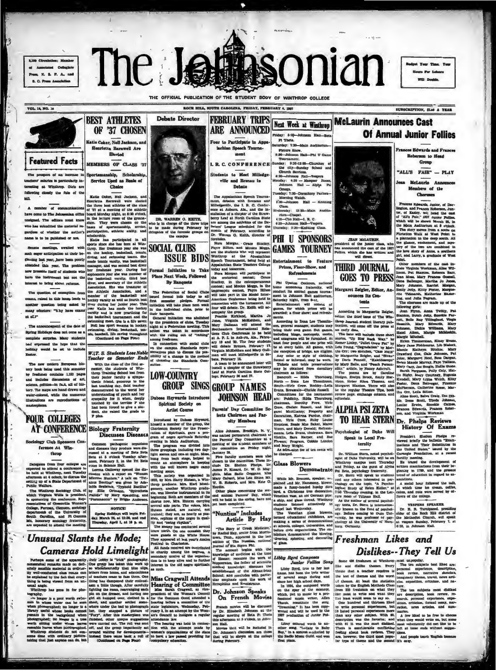. . . . . . . **B. O. Press America** 



**FEBRUARY TRIPS** 

ARE ANNOUNCED

**OCE HILL, SOUTH CAROLINA, FRIDAY, FE** 

SUBSCRIPTION, SLAS A YEAR

**Edwards and Fr** 

Roberson to Head

Group

Members of the

**Choruses** 

Of Annual Junior Follies

VOL. 14, NO. 18



**Featured Facts** 

meet of an in wies is particularly inat at Winthrop. Oirls are centy the fate of the

ave come to The Johns

OF '37 CHOSEN Katie Coker, Nell Jacks **Henrietta Barnwell Are Planted** MEMBERS OF CLASS '37

portamanahip, Scholarship<br>Service Used as Basis of<br>Chaice

**BEST ATHLETES** 

sing closely the false of the Extis Coher, well Jackson, and Henrichtz Barnwell were elected member of communications the class at<br>higher of the class of the class of the class of the class of the six<br>between one to The J

**Debate Director** 

Four to Participate in Ap  $\overline{P}$  $-1$ 0-30-19-00 L.R.C. CONFERENCE nday:<br>the cl<br>Churci diy—<br>ch Se Students to Meet Milled  $4:30 - 3n$ ≕ື້ ville and Brenau in<br>Debate

**LEY 5, 1997** 

Priday: 5:00-John

Next Week at Winthrop

The Appalachian Sprech Tourns-<br>ment, devasts with Breness and the SMIDedgeville, the I B. C. Conference<br>stillnesses and the increase of Automa, Ala, and the increase statistics<br>of a charge of the Straw-<br>percy of a charge

VARREN O. EXITE,<br>charge of the three trips<br>de during February by<br>if the campus



**Pi** Theta ay: 7:30 Cartel Series, 1931.<br>
1940.<br>
1952. - 1952. - Masquer Room, 2011.<br>
1953. - Masquer Room, 2011.<br>
1953. - 1953. - 1953. - 1954.<br>
1953. - 1953. - 1953. - 1954. - 1954.<br>
1953. - 1953. - 1954. - 1954. - 1954. - 1954. - 1954. - 1



**McLaurin Announces Cast**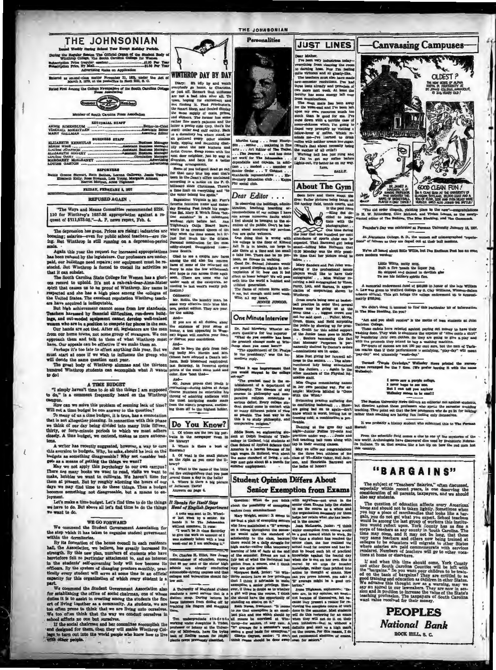| THE JOHNSONIAN                                                                                                                                                                                                            |
|---------------------------------------------------------------------------------------------------------------------------------------------------------------------------------------------------------------------------|
| d Wester During School Year Except Holiday Periods.<br>During the Regular Section The Official Organ of the Student Body of<br>Winthrop College, The South Carolina College for Women<br>Advertising Rates on Application |
| Entered as second-clam matter November 21, 1923, under the Act of<br>March 3, 1879, at the postoffice in Rock Hill, S. C.                                                                                                 |
| Rated First Among the College Newspapers of the flouth Carolina Collage<br><b>Press Association</b><br><b>Hember</b><br>Member of South Caroona Press Association                                                         |
|                                                                                                                                                                                                                           |
| <b>EDITORIAL STAFF</b>                                                                                                                                                                                                    |
| <b>BURINESS STAFF</b>                                                                                                                                                                                                     |
| SLIZABETH KERHULAS Business Manager                                                                                                                                                                                       |
| <b>REPORTERS</b>                                                                                                                                                                                                          |
| Hattle Greene Stewart, Ruth Bethes, Lorena Gallowsy, Jessie Teague,<br>Elizabeth Kelly. Rose Rudnick, Lois Young, Margaret Altman,<br>Harriet Morgan, Anne Tilehman                                                       |
| FRIDAY, FEBRUARY L 1817                                                                                                                                                                                                   |
| <b>REFUSED AGAIN</b>                                                                                                                                                                                                      |

"The Ways and Means Committee recommended \$226. 110 for Winthrop's 1937-38 appropriation against a request of \$311,673.05."-A. P. news report, Feb. 4.

The depression has gone. Prices are rising; industries are coming; salaries—even for public school teachers—are rising. But Winthrop is still running on a depression-period

man, and this year the request for increased appropriations<br>a been refused by the legislature. Our professors are underlying the legislature. Our professors are under-<br>ido, our buildings need repairs; our equipment must be at it can subsist.

it it can subside.<br>The South Carolina State College for Women has a giori-<br>I record to uphold. It's not a rah-rah-dear-Alma-Mater<br>rit that causes us to be proud of Winhrop. Her name is<br>pected and ahe has a high piace among  $008T$ spirit that caus the

the United States. The excellent reputation Winthrop scaces are the United States. The excellent is many and the loss way accomputed in the sixter and the basic product that is a particular the sixter and the sixter harmo

A TIME BUDGET<br>"I simply haven't time to do all the things I am supposed<br>do," is a comment frequently heard on the Winthrop to do," is a com

mpus.<br>How can we solve this problem of seeming lack of time?

How can we solve this problem of seeming lack of time?<br>Will not a time budget be one answer to the question?<br>To many of us a time budget, it is true, has a connotation<br>that is not allogether pleasing. In connection with th

A writer has recently suggested, however, a way to cure<br>this averaion to budgets. Why, he asks, should he look on the<br>budgets as something disagreeable? Why not consider bud-

budgets as something disagreeshle? Why not consider bud. Why the line of getting a small of getting the things we want? I a Of what is the mann gibtire in the state of getting the things we not apply this paychology to ou

Joyment.<br>Let's find time to do the things If Speaks for Itself Square Let's make a time budget. Let's find time to do the things If Speaks for Itself Square we have to do. But above all let's find time to do the things A n

### **WE GO FORWARD**

We commend the Student Government Association for the step which it has taken to organize student government within the dormitories

within the dormitories.<br>Is yis for control of the house council in each residence hall, the Association, we believe, has greatly increased its strength. By this now plan, numbers of students who have been herefore felt no

We commend the Student Government Association also<br>for establishing the office of social chairman, one of whose<br>durinal tis do assist in creating among the students the fine<br>art of living together as a community. As stude d the Student Govern nt Association als



art work for The Meansenna ...<br>dependable and capable, in addition ... modest ... amender of<br>Similar Order ... To Galinet ... To Calmer ... Tolerand ...<br>Similards representative ... The<br>measury Education club ... Kappe ... Dear Editor . . .

function magneton, use of the state of the state of the state of the state of the form of the state of the state of the state of the state and the state in the bears of the state in the state in the state of the state of

Irene Beotth.<br>
Olad to see a coupla new faces<br>
Olad to the returned old<br>
new of some of the returned old<br>
Record of the returned old<br>
And hope to must<br>use the returned of the couple and hope to must<br>
and hope to the catego

lication Minimidial Control and the base of the state of the base way of the base of the base of the base of the base of the base of the base of the state of the state of the state of the state of the state of the control

Dr. Paul Mowbray Wheeler and were the reporter "What do you consider has been "What the presiste change made at Win-<br>the presiste change made at Win-<br>throp sizes read many made at Win-<br>"The appointment of Dr. Phalps

color. now<br>
And<br>
Mr. James proves that youth is<br>
everiasing -during haives at Artist<br>
course Numbers he entertains his<br>
throug of admiring andene with<br>
the most intriguing mades made<br>
the most intriguing mades made<br>
the si

Do You Know?

1. Of whom are the two big portraits in the be librar 2. Where is there a bust of

Dear Mobile, the control in the control of the control of the control of the control of the control of the control of the control of the control of the backy-line. The backy-line of the control of the control of the contr ... The Jeannal ... and has done at work for The Jeannaise...<br>art work for The Jeannaise...<br>dependable and capable, in addi-

**JUST LINES** 

≂

**TATE** BALLY.

# **About The Gym**

Seem here and there ahout the property in the hockey field, tennis courts, and the product of the product of the product of the product of the product of the product of the product of the product of the product of the prod



the post remains and the post remains the state of the state of the state of post time of the state of the state of the state of the state of the state of the state of the state of the state of the state of the state of th the only possi-

orth into the worm a second with<br>initial generation.<br>The fame of reform burns with-<br>n me, but enough until next week.<br>With all my heart,<br>FENNIE JUNIOR. One Minute Interview

to the presidency," was the im-

out for said Reyck, creating the conditional condition of the polarity of the polarity can be conditioned by the problem of the state of the state of the state of the state of the state of the state of the state of the st "What is one improvement that<br>on would suggest in the college

or words suppose to the ending of<br>the meaning of the Payton Relation of the Payton Relations of the South<br>signal contributions of the South Company, The alternation of the South<br>support to the South contribution of the So

comparative religion."<br>
Shancing at the gym day and Eddie Room, any explorering size Policine Towns and this is Debia Institute of Tech- practices under way.... Jesuie and their sixtypine delense in North Law 1901 and the America is a minimized, who made the same standard of living, a college man gets about 65 a month for summer employment.

son, and Henrietta Bethe hadies of honori

### **Student Opinion Differs About Senior Exemption from Exams**

in the<br>studen<br>sole and k | with anyw ums help the<br>we as a wh

The Spendas for Itself Segure Constant in the spectra of the settlet in the settle and a set be constant and a first of English Dependent of the set of the constant in the set of the set of the set of the set of the set o



"The old order chageth, yielding place to the new

ed at Pur

e. S. D., the u art at the

We've all be ard about little Willie, but The E

> Little Willie, mitty mug,<br>Built a fire 'neath the liquor .<br>He skipped and danced in dev<br>To see his father's spirits fire. or jug .<br>Ish glos

A memorial endowment fund of \$50,000 in honor of the late Will<br>A. Law was given to Wofford College by S. Clay Williams, Winston-St<br>tobacco official. This gift brings the college endowment up to ages atrly \$700,000

We didn't think it unusual<br>The Blue Stocking, Do you? al to find this p

"Act and you shall receive" is the motio of men students at John Tariston College. These cases are the motion of the motion of the studies of the studies of the studies of the studies of the studies of the studies by kand

Termed "Purple Cowledge," Wellesley News printed the market revealing the results of the 7 time. (We profer leaving it with the relies).

never saw a purple con<br>never hope to see one,<br>ut I can tell you anyh<br>""haley seems to be en

iesten University News<br>led against these professors who special values of the fact out that the few professors who<br>They point out that fine fun footing only the The Bo ors who spend the a ing. Th rs who do go in for ta

It was p

From the scientific field comes a clue to one of the new world, Archeologists have discovered dice used by prehis follows. To us, that sources like a hot tip on how this country.

# "BARGAINS"

The subject of "Teachers' Salarics," often discussed, especially within recent years, is one descrving the consideration of all parents, taxpayers, and we should also say students.

also say students.<br>The question affects every American come and should not be taken lightly. Sometimes when<br>you buy a piece of merchandise that looks like a bar-<br>gain, you do not get what you expect. School teachers<br>would

tions at nome or eiseware.<br>
If and when this time should come, York County and other South Garultha Counties will be left with the "hargains." Do avoid an Counties will be trained to the basis of bargains." you could go a



THE JOHNSONIAN **Personalities**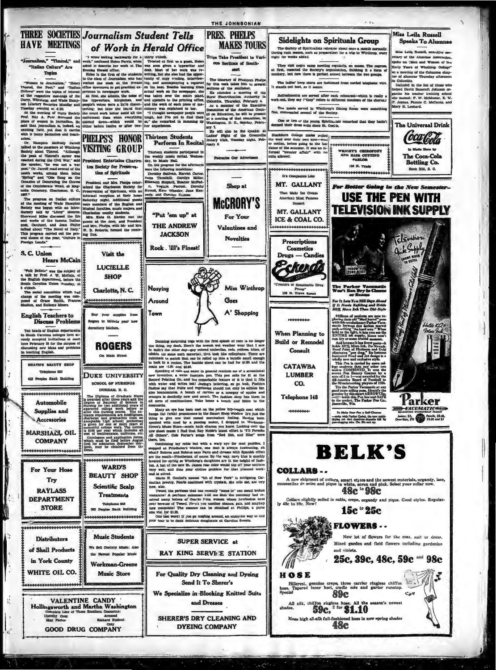